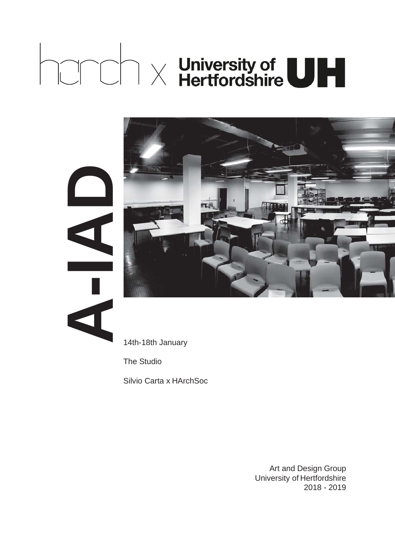# $\text{C}\cap\text{C}$   $\land$  University of  $\text{C}\cap\text{C}$



**A-IAD**

14th-18th January

The Studio

Silvio Carta x HArchSoc

Art and Design Group University of Hertfordshire 2018 - 2019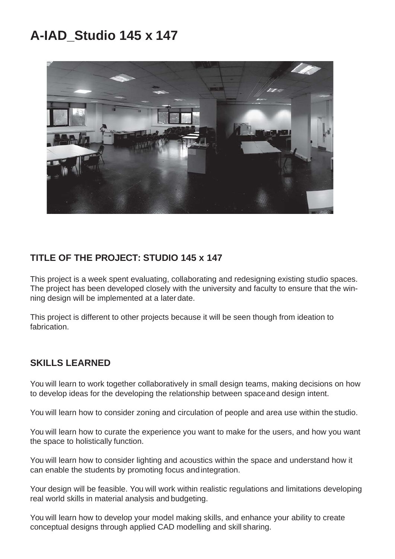### **A-IAD\_Studio 145 x 147**



#### **TITLE OF THE PROJECT: STUDIO 145 x 147**

This project is a week spent evaluating, collaborating and redesigning existing studio spaces. The project has been developed closely with the university and faculty to ensure that the winning design will be implemented at a later date.

This project is different to other projects because it will be seen though from ideation to fabrication.

#### **SKILLS LEARNED**

You will learn to work together collaboratively in small design teams, making decisions on how to develop ideas for the developing the relationship between spaceand design intent.

You will learn how to consider zoning and circulation of people and area use within the studio.

You will learn how to curate the experience you want to make for the users, and how you want the space to holistically function.

You will learn how to consider lighting and acoustics within the space and understand how it can enable the students by promoting focus and integration.

Your design will be feasible. You will work within realistic regulations and limitations developing real world skills in material analysis and budgeting.

You will learn how to develop your model making skills, and enhance your ability to create conceptual designs through applied CAD modelling and skill sharing.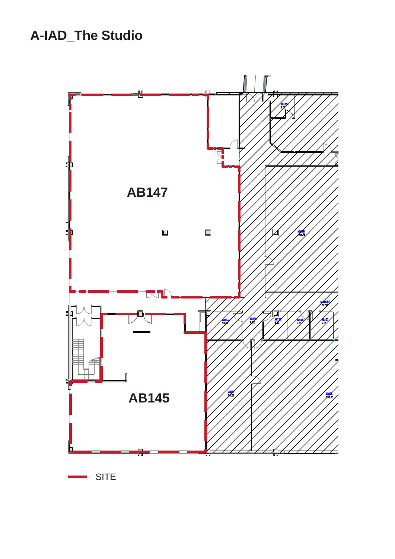## **A-IAD\_The Studio**



**SITE**